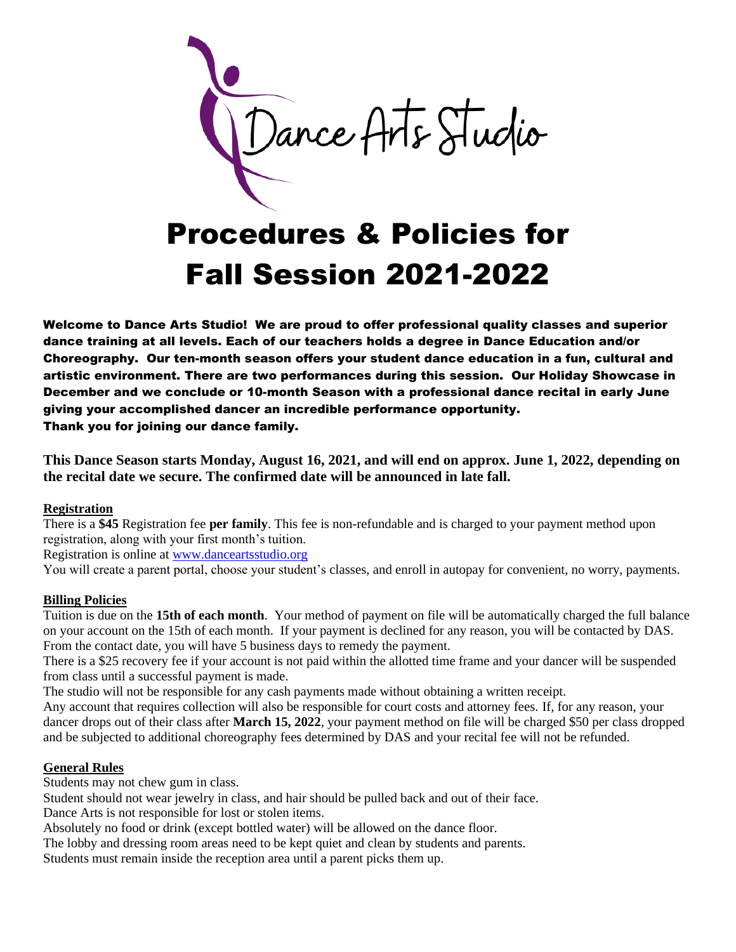Dance Arts Studio

# Procedures & Policies for Fall Session 2021-2022

Welcome to Dance Arts Studio! We are proud to offer professional quality classes and superior dance training at all levels. Each of our teachers holds a degree in Dance Education and/or Choreography. Our ten-month season offers your student dance education in a fun, cultural and artistic environment. There are two performances during this session. Our Holiday Showcase in December and we conclude or 10-month Season with a professional dance recital in early June giving your accomplished dancer an incredible performance opportunity. Thank you for joining our dance family.

**This Dance Season starts Monday, August 16, 2021, and will end on approx. June 1, 2022, depending on the recital date we secure. The confirmed date will be announced in late fall.**

#### **Registration**

There is a **\$45** Registration fee **per family**. This fee is non-refundable and is charged to your payment method upon registration, along with your first month's tuition.

Registration is online at [www.danceartsstudio.org](http://www.danceartsstudio.org/)

You will create a parent portal, choose your student's classes, and enroll in autopay for convenient, no worry, payments.

#### **Billing Policies**

Tuition is due on the **15th of each month**. Your method of payment on file will be automatically charged the full balance on your account on the 15th of each month. If your payment is declined for any reason, you will be contacted by DAS. From the contact date, you will have 5 business days to remedy the payment.

There is a \$25 recovery fee if your account is not paid within the allotted time frame and your dancer will be suspended from class until a successful payment is made.

The studio will not be responsible for any cash payments made without obtaining a written receipt.

Any account that requires collection will also be responsible for court costs and attorney fees. If, for any reason, your dancer drops out of their class after **March 15, 2022**, your payment method on file will be charged \$50 per class dropped and be subjected to additional choreography fees determined by DAS and your recital fee will not be refunded.

## **General Rules**

Students may not chew gum in class.

Student should not wear jewelry in class, and hair should be pulled back and out of their face.

Dance Arts is not responsible for lost or stolen items.

Absolutely no food or drink (except bottled water) will be allowed on the dance floor.

The lobby and dressing room areas need to be kept quiet and clean by students and parents.

Students must remain inside the reception area until a parent picks them up.